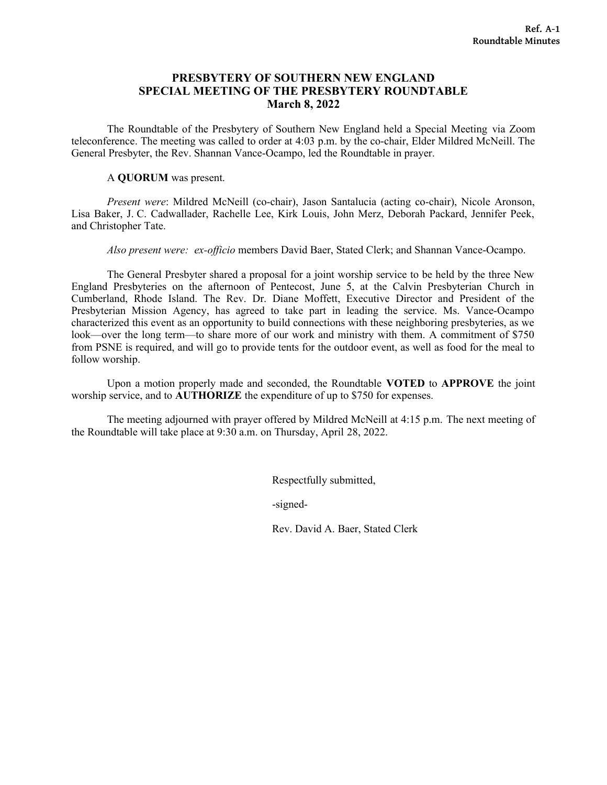# **PRESBYTERY OF SOUTHERN NEW ENGLAND SPECIAL MEETING OF THE PRESBYTERY ROUNDTABLE March 8, 2022**

The Roundtable of the Presbytery of Southern New England held a Special Meeting via Zoom teleconference. The meeting was called to order at 4:03 p.m. by the co-chair, Elder Mildred McNeill. The General Presbyter, the Rev. Shannan Vance-Ocampo, led the Roundtable in prayer.

### A **QUORUM** was present.

*Present were*: Mildred McNeill (co-chair), Jason Santalucia (acting co-chair), Nicole Aronson, Lisa Baker, J. C. Cadwallader, Rachelle Lee, Kirk Louis, John Merz, Deborah Packard, Jennifer Peek, and Christopher Tate.

*Also present were: ex-officio* members David Baer, Stated Clerk; and Shannan Vance-Ocampo.

The General Presbyter shared a proposal for a joint worship service to be held by the three New England Presbyteries on the afternoon of Pentecost, June 5, at the Calvin Presbyterian Church in Cumberland, Rhode Island. The Rev. Dr. Diane Moffett, Executive Director and President of the Presbyterian Mission Agency, has agreed to take part in leading the service. Ms. Vance-Ocampo characterized this event as an opportunity to build connections with these neighboring presbyteries, as we look—over the long term—to share more of our work and ministry with them. A commitment of \$750 from PSNE is required, and will go to provide tents for the outdoor event, as well as food for the meal to follow worship.

Upon a motion properly made and seconded, the Roundtable **VOTED** to **APPROVE** the joint worship service, and to **AUTHORIZE** the expenditure of up to \$750 for expenses.

The meeting adjourned with prayer offered by Mildred McNeill at 4:15 p.m. The next meeting of the Roundtable will take place at 9:30 a.m. on Thursday, April 28, 2022.

Respectfully submitted,

-signed-

Rev. David A. Baer, Stated Clerk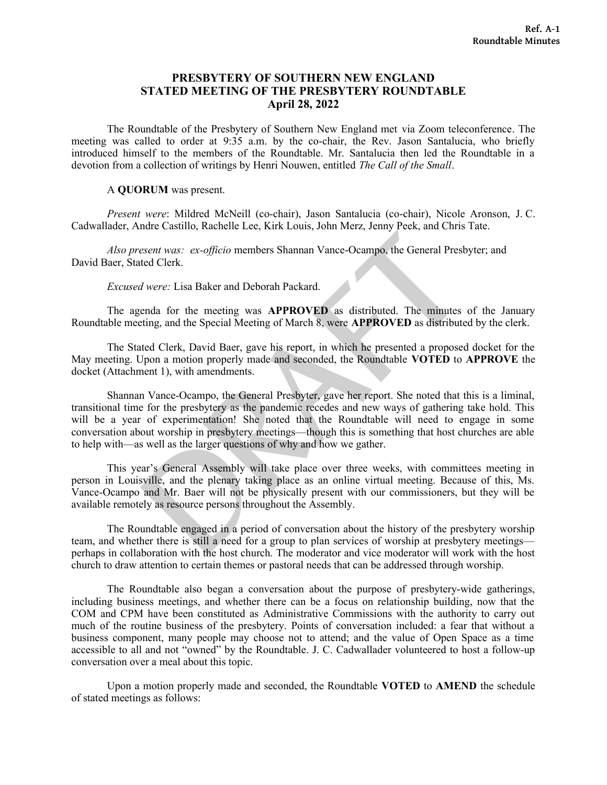# **PRESBYTERY OF SOUTHERN NEW ENGLAND STATED MEETING OF THE PRESBYTERY ROUNDTABLE April 28, 2022**

The Roundtable of the Presbytery of Southern New England met via Zoom teleconference. The meeting was called to order at 9:35 a.m. by the co-chair, the Rev. Jason Santalucia, who briefly introduced himself to the members of the Roundtable. Mr. Santalucia then led the Roundtable in a devotion from a collection of writings by Henri Nouwen, entitled *The Call of the Small*.

#### A **QUORUM** was present.

*Present were*: Mildred McNeill (co-chair), Jason Santalucia (co-chair), Nicole Aronson, J. C. Cadwallader, Andre Castillo, Rachelle Lee, Kirk Louis, John Merz, Jenny Peek, and Chris Tate.

*Also present was: ex-officio* members Shannan Vance-Ocampo, the General Presbyter; and David Baer, Stated Clerk.

## *Excused were:* Lisa Baker and Deborah Packard.

The agenda for the meeting was **APPROVED** as distributed. The minutes of the January Roundtable meeting, and the Special Meeting of March 8, were **APPROVED** as distributed by the clerk.

The Stated Clerk, David Baer, gave his report, in which he presented a proposed docket for the May meeting. Upon a motion properly made and seconded, the Roundtable **VOTED** to **APPROVE** the docket (Attachment 1), with amendments.

exert was: ex-officio members Shannan Vance-Ocampo, the General Prest<br>ted Clerk.<br>Were: Lisa Baker and Deborah Packard.<br>enda for the meeting was **APPROVED** as distributed. The minutes<br>ting, and the Special Meeting of March Shannan Vance-Ocampo, the General Presbyter, gave her report. She noted that this is a liminal, transitional time for the presbytery as the pandemic recedes and new ways of gathering take hold. This will be a year of experimentation! She noted that the Roundtable will need to engage in some conversation about worship in presbytery meetings—though this is something that host churches are able to help with—as well as the larger questions of why and how we gather.

This year's General Assembly will take place over three weeks, with committees meeting in person in Louisville, and the plenary taking place as an online virtual meeting. Because of this, Ms. Vance-Ocampo and Mr. Baer will not be physically present with our commissioners, but they will be available remotely as resource persons throughout the Assembly.

The Roundtable engaged in a period of conversation about the history of the presbytery worship team, and whether there is still a need for a group to plan services of worship at presbytery meetings perhaps in collaboration with the host church. The moderator and vice moderator will work with the host church to draw attention to certain themes or pastoral needs that can be addressed through worship.

The Roundtable also began a conversation about the purpose of presbytery-wide gatherings, including business meetings, and whether there can be a focus on relationship building, now that the COM and CPM have been constituted as Administrative Commissions with the authority to carry out much of the routine business of the presbytery. Points of conversation included: a fear that without a business component, many people may choose not to attend; and the value of Open Space as a time accessible to all and not "owned" by the Roundtable. J. C. Cadwallader volunteered to host a follow-up conversation over a meal about this topic.

Upon a motion properly made and seconded, the Roundtable **VOTED** to **AMEND** the schedule of stated meetings as follows: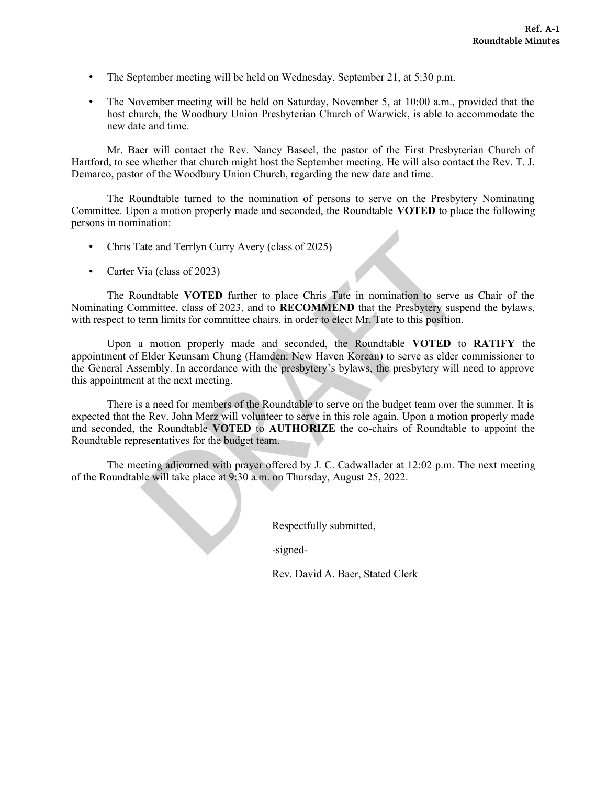- The September meeting will be held on Wednesday, September 21, at 5:30 p.m.
- The November meeting will be held on Saturday, November 5, at 10:00 a.m., provided that the host church, the Woodbury Union Presbyterian Church of Warwick, is able to accommodate the new date and time.

Mr. Baer will contact the Rev. Nancy Baseel, the pastor of the First Presbyterian Church of Hartford, to see whether that church might host the September meeting. He will also contact the Rev. T. J. Demarco, pastor of the Woodbury Union Church, regarding the new date and time.

The Roundtable turned to the nomination of persons to serve on the Presbytery Nominating Committee. Upon a motion properly made and seconded, the Roundtable **VOTED** to place the following persons in nomination:

- Chris Tate and Terrlyn Curry Avery (class of 2025)
- Carter Via (class of 2023)

The Roundtable **VOTED** further to place Chris Tate in nomination to serve as Chair of the Nominating Committee, class of 2023, and to **RECOMMEND** that the Presbytery suspend the bylaws, with respect to term limits for committee chairs, in order to elect Mr. Tate to this position.

ate and Terrlyn Curry Avery (class of 2025)<br>
Via (class of 2023)<br>
Undtable **VOTED** further to place Chris Tate in nomination to serve it<br>
munittee, class of 2023), and to **RECOMMEND** that the Presbytery susper<br>
term limits Upon a motion properly made and seconded, the Roundtable **VOTED** to **RATIFY** the appointment of Elder Keunsam Chung (Hamden: New Haven Korean) to serve as elder commissioner to the General Assembly. In accordance with the presbytery's bylaws, the presbytery will need to approve this appointment at the next meeting.

There is a need for members of the Roundtable to serve on the budget team over the summer. It is expected that the Rev. John Merz will volunteer to serve in this role again. Upon a motion properly made and seconded, the Roundtable **VOTED** to **AUTHORIZE** the co-chairs of Roundtable to appoint the Roundtable representatives for the budget team.

The meeting adjourned with prayer offered by J. C. Cadwallader at 12:02 p.m. The next meeting of the Roundtable will take place at 9:30 a.m. on Thursday, August 25, 2022.

Respectfully submitted,

-signed-

Rev. David A. Baer, Stated Clerk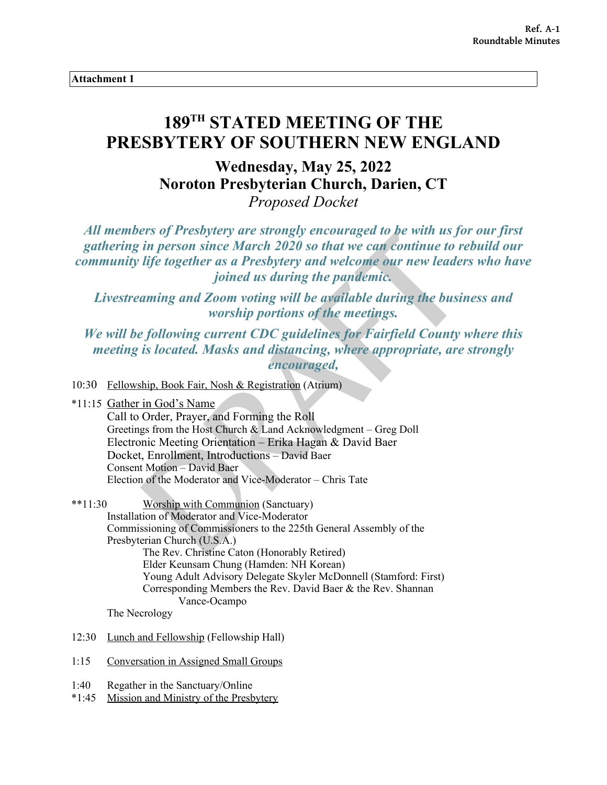**Attachment 1**

# **189TH STATED MEETING OF THE PRESBYTERY OF SOUTHERN NEW ENGLAND**

**Wednesday, May 25, 2022 Noroton Presbyterian Church, Darien, CT** *Proposed Docket*

*All members of Presbytery are strongly encouraged to be with us for our first gathering in person since March 2020 so that we can continue to rebuild our community life together as a Presbytery and welcome our new leaders who have joined us during the pandemic.* 

*Livestreaming and Zoom voting will be available during the business and worship portions of the meetings.* 

*We will be following current CDC guidelines for Fairfield County where this meeting is located. Masks and distancing, where appropriate, are strongly encouraged,*

10:30 Fellowship, Book Fair, Nosh & Registration (Atrium)

From the Moderator and Wice-Moderator – Chris Tate<br>
Worship of the Resolution<br>
The Results of Communication<br>
in person since March 2020 so that we can continue to relate<br>
if the together as a Presbytery and welcome our new \*11:15 Gather in God's Name Call to Order, Prayer, and Forming the Roll Greetings from the Host Church & Land Acknowledgment – Greg Doll Electronic Meeting Orientation – Erika Hagan & David Baer Docket, Enrollment, Introductions – David Baer Consent Motion – David Baer Election of the Moderator and Vice-Moderator – Chris Tate

\*\*11:30 Worship with Communion (Sanctuary) Installation of Moderator and Vice-Moderator Commissioning of Commissioners to the 225th General Assembly of the Presbyterian Church (U.S.A.) The Rev. Christine Caton (Honorably Retired) Elder Keunsam Chung (Hamden: NH Korean) Young Adult Advisory Delegate Skyler McDonnell (Stamford: First) Corresponding Members the Rev. David Baer & the Rev. Shannan Vance-Ocampo

The Necrology

- 12:30 Lunch and Fellowship (Fellowship Hall)
- 1:15 Conversation in Assigned Small Groups
- 1:40 Regather in the Sanctuary/Online
- \*1:45 Mission and Ministry of the Presbytery